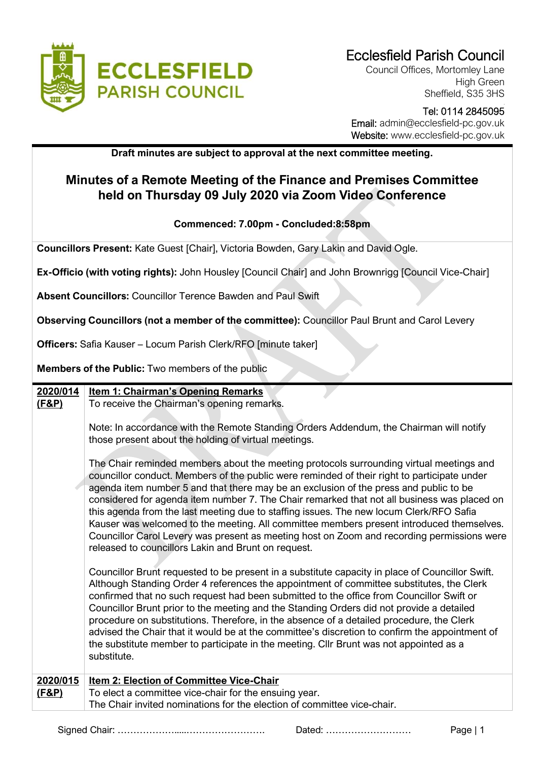

Council Offices, Mortomley Lane High Green Sheffield, S35 3HS

### Tel: 0114 2845095 Email: admin@ecclesfield-pc.gov.uk Website: www.ecclesfield-pc.gov.uk

**Draft minutes are subject to approval at the next committee meeting.** 

# **Minutes of a Remote Meeting of the Finance and Premises Committee held on Thursday 09 July 2020 via Zoom Video Conference**

## **Commenced: 7.00pm - Concluded:8:58pm**

**Councillors Present:** Kate Guest [Chair], Victoria Bowden, Gary Lakin and David Ogle.

**Ex-Officio (with voting rights):** John Housley [Council Chair] and John Brownrigg [Council Vice-Chair]

**Absent Councillors:** Councillor Terence Bawden and Paul Swift

**Observing Councillors (not a member of the committee):** Councillor Paul Brunt and Carol Levery

**Officers:** Safia Kauser – Locum Parish Clerk/RFO [minute taker]

**Members of the Public:** Two members of the public

| 2020/014         | <b>Item 1: Chairman's Opening Remarks</b>                                                                                                                                                                                                                                                                                                                                                                                                                                                                                                                                                                                                                                                                                  |
|------------------|----------------------------------------------------------------------------------------------------------------------------------------------------------------------------------------------------------------------------------------------------------------------------------------------------------------------------------------------------------------------------------------------------------------------------------------------------------------------------------------------------------------------------------------------------------------------------------------------------------------------------------------------------------------------------------------------------------------------------|
| <u>(F&amp;P)</u> | To receive the Chairman's opening remarks.                                                                                                                                                                                                                                                                                                                                                                                                                                                                                                                                                                                                                                                                                 |
|                  |                                                                                                                                                                                                                                                                                                                                                                                                                                                                                                                                                                                                                                                                                                                            |
|                  | Note: In accordance with the Remote Standing Orders Addendum, the Chairman will notify                                                                                                                                                                                                                                                                                                                                                                                                                                                                                                                                                                                                                                     |
|                  | those present about the holding of virtual meetings.                                                                                                                                                                                                                                                                                                                                                                                                                                                                                                                                                                                                                                                                       |
|                  |                                                                                                                                                                                                                                                                                                                                                                                                                                                                                                                                                                                                                                                                                                                            |
|                  | The Chair reminded members about the meeting protocols surrounding virtual meetings and<br>councillor conduct. Members of the public were reminded of their right to participate under<br>agenda item number 5 and that there may be an exclusion of the press and public to be<br>considered for agenda item number 7. The Chair remarked that not all business was placed on<br>this agenda from the last meeting due to staffing issues. The new locum Clerk/RFO Safia<br>Kauser was welcomed to the meeting. All committee members present introduced themselves.<br>Councillor Carol Levery was present as meeting host on Zoom and recording permissions were<br>released to councillors Lakin and Brunt on request. |
|                  | Councillor Brunt requested to be present in a substitute capacity in place of Councillor Swift.<br>Although Standing Order 4 references the appointment of committee substitutes, the Clerk<br>confirmed that no such request had been submitted to the office from Councillor Swift or<br>Councillor Brunt prior to the meeting and the Standing Orders did not provide a detailed<br>procedure on substitutions. Therefore, in the absence of a detailed procedure, the Clerk<br>advised the Chair that it would be at the committee's discretion to confirm the appointment of<br>the substitute member to participate in the meeting. Cllr Brunt was not appointed as a<br>substitute.                                 |
| 2020/015         | Item 2: Election of Committee Vice-Chair                                                                                                                                                                                                                                                                                                                                                                                                                                                                                                                                                                                                                                                                                   |
| <u>(F&amp;P)</u> | To elect a committee vice-chair for the ensuing year.                                                                                                                                                                                                                                                                                                                                                                                                                                                                                                                                                                                                                                                                      |
|                  | The Chair invited nominations for the election of committee vice-chair.                                                                                                                                                                                                                                                                                                                                                                                                                                                                                                                                                                                                                                                    |
|                  |                                                                                                                                                                                                                                                                                                                                                                                                                                                                                                                                                                                                                                                                                                                            |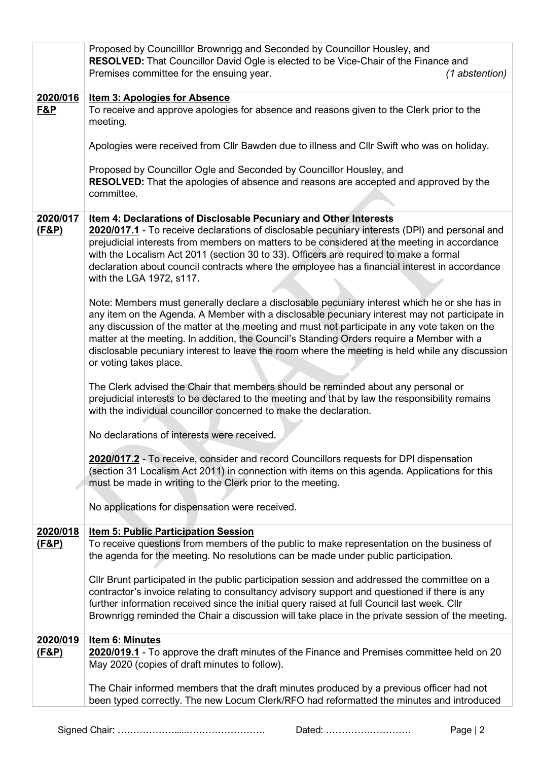|                              | Proposed by Councilllor Brownrigg and Seconded by Councillor Housley, and<br><b>RESOLVED:</b> That Councillor David Ogle is elected to be Vice-Chair of the Finance and<br>Premises committee for the ensuing year.<br>(1 abstention)                                                                                                                                                                                                                                                                                    |
|------------------------------|--------------------------------------------------------------------------------------------------------------------------------------------------------------------------------------------------------------------------------------------------------------------------------------------------------------------------------------------------------------------------------------------------------------------------------------------------------------------------------------------------------------------------|
| 2020/016                     | <b>Item 3: Apologies for Absence</b>                                                                                                                                                                                                                                                                                                                                                                                                                                                                                     |
| <b>F&amp;P</b>               | To receive and approve apologies for absence and reasons given to the Clerk prior to the<br>meeting.                                                                                                                                                                                                                                                                                                                                                                                                                     |
|                              | Apologies were received from Cllr Bawden due to illness and Cllr Swift who was on holiday.                                                                                                                                                                                                                                                                                                                                                                                                                               |
|                              | Proposed by Councillor Ogle and Seconded by Councillor Housley, and<br><b>RESOLVED:</b> That the apologies of absence and reasons are accepted and approved by the<br>committee.                                                                                                                                                                                                                                                                                                                                         |
| 2020/017                     | Item 4: Declarations of Disclosable Pecuniary and Other Interests                                                                                                                                                                                                                                                                                                                                                                                                                                                        |
| <u>(F&amp;P)</u>             | 2020/017.1 - To receive declarations of disclosable pecuniary interests (DPI) and personal and<br>prejudicial interests from members on matters to be considered at the meeting in accordance<br>with the Localism Act 2011 (section 30 to 33). Officers are required to make a formal<br>declaration about council contracts where the employee has a financial interest in accordance<br>with the LGA 1972, s117.                                                                                                      |
|                              | Note: Members must generally declare a disclosable pecuniary interest which he or she has in<br>any item on the Agenda. A Member with a disclosable pecuniary interest may not participate in<br>any discussion of the matter at the meeting and must not participate in any vote taken on the<br>matter at the meeting. In addition, the Council's Standing Orders require a Member with a<br>disclosable pecuniary interest to leave the room where the meeting is held while any discussion<br>or voting takes place. |
|                              | The Clerk advised the Chair that members should be reminded about any personal or<br>prejudicial interests to be declared to the meeting and that by law the responsibility remains<br>with the individual councillor concerned to make the declaration.                                                                                                                                                                                                                                                                 |
|                              | No declarations of interests were received.                                                                                                                                                                                                                                                                                                                                                                                                                                                                              |
|                              | 2020/017.2 - To receive, consider and record Councillors requests for DPI dispensation<br>(section 31 Localism Act 2011) in connection with items on this agenda. Applications for this<br>must be made in writing to the Clerk prior to the meeting.                                                                                                                                                                                                                                                                    |
|                              | No applications for dispensation were received.                                                                                                                                                                                                                                                                                                                                                                                                                                                                          |
| 2020/018                     | <b>Item 5: Public Participation Session</b>                                                                                                                                                                                                                                                                                                                                                                                                                                                                              |
| (F&P)                        | To receive questions from members of the public to make representation on the business of<br>the agenda for the meeting. No resolutions can be made under public participation.                                                                                                                                                                                                                                                                                                                                          |
|                              | CIIr Brunt participated in the public participation session and addressed the committee on a<br>contractor's invoice relating to consultancy advisory support and questioned if there is any<br>further information received since the initial query raised at full Council last week. Cllr<br>Brownrigg reminded the Chair a discussion will take place in the private session of the meeting.                                                                                                                          |
| 2020/019<br><u>(F&amp;P)</u> | Item 6: Minutes<br>2020/019.1 - To approve the draft minutes of the Finance and Premises committee held on 20<br>May 2020 (copies of draft minutes to follow).                                                                                                                                                                                                                                                                                                                                                           |
|                              | The Chair informed members that the draft minutes produced by a previous officer had not<br>been typed correctly. The new Locum Clerk/RFO had reformatted the minutes and introduced                                                                                                                                                                                                                                                                                                                                     |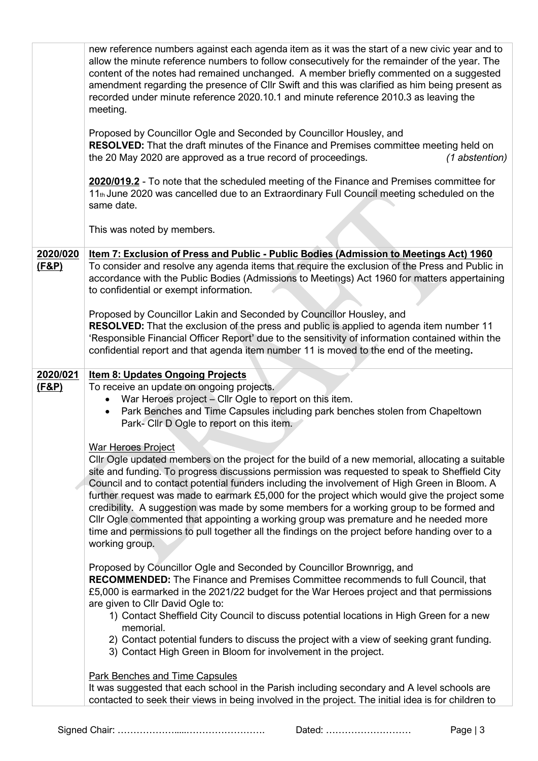|                  | new reference numbers against each agenda item as it was the start of a new civic year and to<br>allow the minute reference numbers to follow consecutively for the remainder of the year. The<br>content of the notes had remained unchanged. A member briefly commented on a suggested<br>amendment regarding the presence of Cllr Swift and this was clarified as him being present as<br>recorded under minute reference 2020.10.1 and minute reference 2010.3 as leaving the<br>meeting.<br>Proposed by Councillor Ogle and Seconded by Councillor Housley, and<br><b>RESOLVED:</b> That the draft minutes of the Finance and Premises committee meeting held on<br>the 20 May 2020 are approved as a true record of proceedings.<br>(1 abstention)<br>2020/019.2 - To note that the scheduled meeting of the Finance and Premises committee for<br>11th June 2020 was cancelled due to an Extraordinary Full Council meeting scheduled on the<br>same date.<br>This was noted by members. |
|------------------|-------------------------------------------------------------------------------------------------------------------------------------------------------------------------------------------------------------------------------------------------------------------------------------------------------------------------------------------------------------------------------------------------------------------------------------------------------------------------------------------------------------------------------------------------------------------------------------------------------------------------------------------------------------------------------------------------------------------------------------------------------------------------------------------------------------------------------------------------------------------------------------------------------------------------------------------------------------------------------------------------|
| 2020/020         | Item 7: Exclusion of Press and Public - Public Bodies (Admission to Meetings Act) 1960                                                                                                                                                                                                                                                                                                                                                                                                                                                                                                                                                                                                                                                                                                                                                                                                                                                                                                          |
| <u>(F&amp;P)</u> | To consider and resolve any agenda items that require the exclusion of the Press and Public in<br>accordance with the Public Bodies (Admissions to Meetings) Act 1960 for matters appertaining<br>to confidential or exempt information.                                                                                                                                                                                                                                                                                                                                                                                                                                                                                                                                                                                                                                                                                                                                                        |
|                  | Proposed by Councillor Lakin and Seconded by Councillor Housley, and                                                                                                                                                                                                                                                                                                                                                                                                                                                                                                                                                                                                                                                                                                                                                                                                                                                                                                                            |
|                  | RESOLVED: That the exclusion of the press and public is applied to agenda item number 11<br>'Responsible Financial Officer Report' due to the sensitivity of information contained within the<br>confidential report and that agenda item number 11 is moved to the end of the meeting.                                                                                                                                                                                                                                                                                                                                                                                                                                                                                                                                                                                                                                                                                                         |
| 2020/021         | <b>Item 8: Updates Ongoing Projects</b>                                                                                                                                                                                                                                                                                                                                                                                                                                                                                                                                                                                                                                                                                                                                                                                                                                                                                                                                                         |
| (F&P)            | To receive an update on ongoing projects.<br>War Heroes project - Cllr Ogle to report on this item.<br>Park Benches and Time Capsules including park benches stolen from Chapeltown<br>Park- Cllr D Ogle to report on this item.                                                                                                                                                                                                                                                                                                                                                                                                                                                                                                                                                                                                                                                                                                                                                                |
|                  |                                                                                                                                                                                                                                                                                                                                                                                                                                                                                                                                                                                                                                                                                                                                                                                                                                                                                                                                                                                                 |
|                  | <b>War Heroes Project</b><br>CIIr Ogle updated members on the project for the build of a new memorial, allocating a suitable<br>site and funding. To progress discussions permission was requested to speak to Sheffield City<br>Council and to contact potential funders including the involvement of High Green in Bloom. A<br>further request was made to earmark £5,000 for the project which would give the project some<br>credibility. A suggestion was made by some members for a working group to be formed and<br>Cllr Ogle commented that appointing a working group was premature and he needed more<br>time and permissions to pull together all the findings on the project before handing over to a<br>working group.                                                                                                                                                                                                                                                            |
|                  | Proposed by Councillor Ogle and Seconded by Councillor Brownrigg, and<br><b>RECOMMENDED:</b> The Finance and Premises Committee recommends to full Council, that<br>£5,000 is earmarked in the 2021/22 budget for the War Heroes project and that permissions<br>are given to Cllr David Ogle to:                                                                                                                                                                                                                                                                                                                                                                                                                                                                                                                                                                                                                                                                                               |
|                  | 1) Contact Sheffield City Council to discuss potential locations in High Green for a new<br>memorial.                                                                                                                                                                                                                                                                                                                                                                                                                                                                                                                                                                                                                                                                                                                                                                                                                                                                                           |
|                  | 2) Contact potential funders to discuss the project with a view of seeking grant funding.<br>3) Contact High Green in Bloom for involvement in the project.                                                                                                                                                                                                                                                                                                                                                                                                                                                                                                                                                                                                                                                                                                                                                                                                                                     |
|                  | <b>Park Benches and Time Capsules</b>                                                                                                                                                                                                                                                                                                                                                                                                                                                                                                                                                                                                                                                                                                                                                                                                                                                                                                                                                           |
|                  | It was suggested that each school in the Parish including secondary and A level schools are<br>contacted to seek their views in being involved in the project. The initial idea is for children to                                                                                                                                                                                                                                                                                                                                                                                                                                                                                                                                                                                                                                                                                                                                                                                              |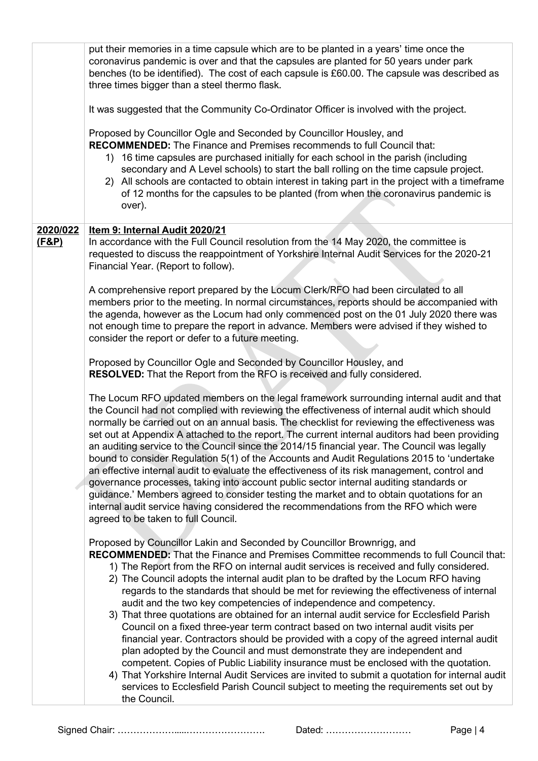|                              | put their memories in a time capsule which are to be planted in a years' time once the<br>coronavirus pandemic is over and that the capsules are planted for 50 years under park<br>benches (to be identified). The cost of each capsule is £60.00. The capsule was described as<br>three times bigger than a steel thermo flask.<br>It was suggested that the Community Co-Ordinator Officer is involved with the project.<br>Proposed by Councillor Ogle and Seconded by Councillor Housley, and<br><b>RECOMMENDED:</b> The Finance and Premises recommends to full Council that:<br>16 time capsules are purchased initially for each school in the parish (including<br>1)<br>secondary and A Level schools) to start the ball rolling on the time capsule project.<br>2) All schools are contacted to obtain interest in taking part in the project with a timeframe<br>of 12 months for the capsules to be planted (from when the coronavirus pandemic is<br>over).                                                                                                                                                                                                |
|------------------------------|--------------------------------------------------------------------------------------------------------------------------------------------------------------------------------------------------------------------------------------------------------------------------------------------------------------------------------------------------------------------------------------------------------------------------------------------------------------------------------------------------------------------------------------------------------------------------------------------------------------------------------------------------------------------------------------------------------------------------------------------------------------------------------------------------------------------------------------------------------------------------------------------------------------------------------------------------------------------------------------------------------------------------------------------------------------------------------------------------------------------------------------------------------------------------|
| 2020/022<br><u>(F&amp;P)</u> | Item 9: Internal Audit 2020/21<br>In accordance with the Full Council resolution from the 14 May 2020, the committee is<br>requested to discuss the reappointment of Yorkshire Internal Audit Services for the 2020-21<br>Financial Year. (Report to follow).                                                                                                                                                                                                                                                                                                                                                                                                                                                                                                                                                                                                                                                                                                                                                                                                                                                                                                            |
|                              | A comprehensive report prepared by the Locum Clerk/RFO had been circulated to all<br>members prior to the meeting. In normal circumstances, reports should be accompanied with<br>the agenda, however as the Locum had only commenced post on the 01 July 2020 there was<br>not enough time to prepare the report in advance. Members were advised if they wished to<br>consider the report or defer to a future meeting.                                                                                                                                                                                                                                                                                                                                                                                                                                                                                                                                                                                                                                                                                                                                                |
|                              | Proposed by Councillor Ogle and Seconded by Councillor Housley, and<br><b>RESOLVED:</b> That the Report from the RFO is received and fully considered.                                                                                                                                                                                                                                                                                                                                                                                                                                                                                                                                                                                                                                                                                                                                                                                                                                                                                                                                                                                                                   |
|                              | The Locum RFO updated members on the legal framework surrounding internal audit and that<br>the Council had not complied with reviewing the effectiveness of internal audit which should<br>normally be carried out on an annual basis. The checklist for reviewing the effectiveness was<br>set out at Appendix A attached to the report. The current internal auditors had been providing<br>an auditing service to the Council since the 2014/15 financial year. The Council was legally<br>bound to consider Regulation 5(1) of the Accounts and Audit Regulations 2015 to 'undertake<br>an effective internal audit to evaluate the effectiveness of its risk management, control and<br>governance processes, taking into account public sector internal auditing standards or<br>guidance.' Members agreed to consider testing the market and to obtain quotations for an<br>internal audit service having considered the recommendations from the RFO which were<br>agreed to be taken to full Council.                                                                                                                                                          |
|                              | Proposed by Councillor Lakin and Seconded by Councillor Brownrigg, and<br><b>RECOMMENDED:</b> That the Finance and Premises Committee recommends to full Council that:<br>1) The Report from the RFO on internal audit services is received and fully considered.<br>2) The Council adopts the internal audit plan to be drafted by the Locum RFO having<br>regards to the standards that should be met for reviewing the effectiveness of internal<br>audit and the two key competencies of independence and competency.<br>3) That three quotations are obtained for an internal audit service for Ecclesfield Parish<br>Council on a fixed three-year term contract based on two internal audit visits per<br>financial year. Contractors should be provided with a copy of the agreed internal audit<br>plan adopted by the Council and must demonstrate they are independent and<br>competent. Copies of Public Liability insurance must be enclosed with the quotation.<br>4) That Yorkshire Internal Audit Services are invited to submit a quotation for internal audit<br>services to Ecclesfield Parish Council subject to meeting the requirements set out by |
|                              | the Council.                                                                                                                                                                                                                                                                                                                                                                                                                                                                                                                                                                                                                                                                                                                                                                                                                                                                                                                                                                                                                                                                                                                                                             |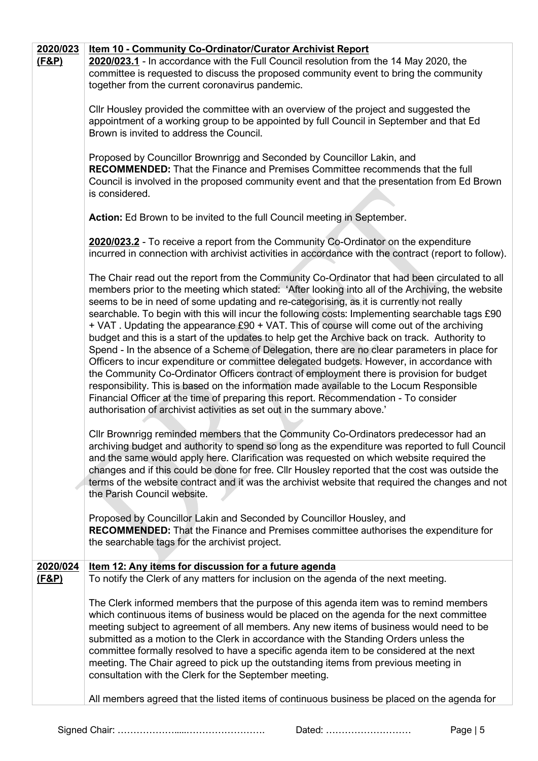| 2020/023<br><u>(F&amp;P)</u> | Item 10 - Community Co-Ordinator/Curator Archivist Report<br>2020/023.1 - In accordance with the Full Council resolution from the 14 May 2020, the<br>committee is requested to discuss the proposed community event to bring the community<br>together from the current coronavirus pandemic.                                                                                                                                                                                                                                                                                                                                                                                                                                                                                                                                                                                                                                                                                                                                                                                                                                                      |
|------------------------------|-----------------------------------------------------------------------------------------------------------------------------------------------------------------------------------------------------------------------------------------------------------------------------------------------------------------------------------------------------------------------------------------------------------------------------------------------------------------------------------------------------------------------------------------------------------------------------------------------------------------------------------------------------------------------------------------------------------------------------------------------------------------------------------------------------------------------------------------------------------------------------------------------------------------------------------------------------------------------------------------------------------------------------------------------------------------------------------------------------------------------------------------------------|
|                              | CIIr Housley provided the committee with an overview of the project and suggested the<br>appointment of a working group to be appointed by full Council in September and that Ed<br>Brown is invited to address the Council.                                                                                                                                                                                                                                                                                                                                                                                                                                                                                                                                                                                                                                                                                                                                                                                                                                                                                                                        |
|                              | Proposed by Councillor Brownrigg and Seconded by Councillor Lakin, and<br><b>RECOMMENDED:</b> That the Finance and Premises Committee recommends that the full<br>Council is involved in the proposed community event and that the presentation from Ed Brown<br>is considered.                                                                                                                                                                                                                                                                                                                                                                                                                                                                                                                                                                                                                                                                                                                                                                                                                                                                     |
|                              | Action: Ed Brown to be invited to the full Council meeting in September.                                                                                                                                                                                                                                                                                                                                                                                                                                                                                                                                                                                                                                                                                                                                                                                                                                                                                                                                                                                                                                                                            |
|                              | 2020/023.2 - To receive a report from the Community Co-Ordinator on the expenditure<br>incurred in connection with archivist activities in accordance with the contract (report to follow).                                                                                                                                                                                                                                                                                                                                                                                                                                                                                                                                                                                                                                                                                                                                                                                                                                                                                                                                                         |
|                              | The Chair read out the report from the Community Co-Ordinator that had been circulated to all<br>members prior to the meeting which stated: 'After looking into all of the Archiving, the website<br>seems to be in need of some updating and re-categorising, as it is currently not really<br>searchable. To begin with this will incur the following costs: Implementing searchable tags £90<br>+ VAT. Updating the appearance £90 + VAT. This of course will come out of the archiving<br>budget and this is a start of the updates to help get the Archive back on track. Authority to<br>Spend - In the absence of a Scheme of Delegation, there are no clear parameters in place for<br>Officers to incur expenditure or committee delegated budgets. However, in accordance with<br>the Community Co-Ordinator Officers contract of employment there is provision for budget<br>responsibility. This is based on the information made available to the Locum Responsible<br>Financial Officer at the time of preparing this report. Recommendation - To consider<br>authorisation of archivist activities as set out in the summary above.' |
|                              | Cllr Brownrigg reminded members that the Community Co-Ordinators predecessor had an<br>archiving budget and authority to spend so long as the expenditure was reported to full Council<br>and the same would apply here. Clarification was requested on which website required the<br>changes and if this could be done for free. Cllr Housley reported that the cost was outside the<br>terms of the website contract and it was the archivist website that required the changes and not<br>the Parish Council website.<br>Proposed by Councillor Lakin and Seconded by Councillor Housley, and<br><b>RECOMMENDED:</b> That the Finance and Premises committee authorises the expenditure for                                                                                                                                                                                                                                                                                                                                                                                                                                                      |
|                              | the searchable tags for the archivist project.                                                                                                                                                                                                                                                                                                                                                                                                                                                                                                                                                                                                                                                                                                                                                                                                                                                                                                                                                                                                                                                                                                      |
| 2020/024<br><u>(F&amp;P)</u> | Item 12: Any items for discussion for a future agenda<br>To notify the Clerk of any matters for inclusion on the agenda of the next meeting.                                                                                                                                                                                                                                                                                                                                                                                                                                                                                                                                                                                                                                                                                                                                                                                                                                                                                                                                                                                                        |
|                              | The Clerk informed members that the purpose of this agenda item was to remind members<br>which continuous items of business would be placed on the agenda for the next committee<br>meeting subject to agreement of all members. Any new items of business would need to be<br>submitted as a motion to the Clerk in accordance with the Standing Orders unless the<br>committee formally resolved to have a specific agenda item to be considered at the next<br>meeting. The Chair agreed to pick up the outstanding items from previous meeting in<br>consultation with the Clerk for the September meeting.                                                                                                                                                                                                                                                                                                                                                                                                                                                                                                                                     |
|                              | All members agreed that the listed items of continuous business be placed on the agenda for                                                                                                                                                                                                                                                                                                                                                                                                                                                                                                                                                                                                                                                                                                                                                                                                                                                                                                                                                                                                                                                         |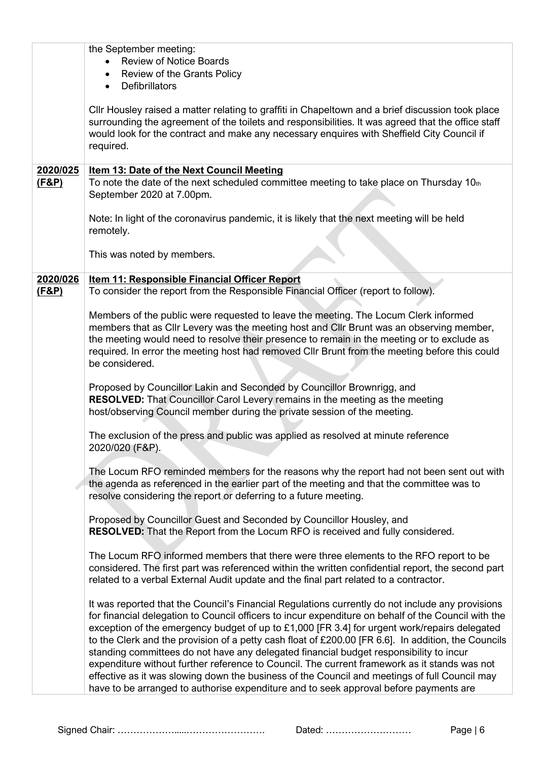| the September meeting:<br><b>Review of Notice Boards</b><br>Review of the Grants Policy<br>$\bullet$<br><b>Defibrillators</b><br>$\bullet$                                                                                                                                                                                                                                                                                                                                                                                                                                                                                                                                                                                                                                                         |
|----------------------------------------------------------------------------------------------------------------------------------------------------------------------------------------------------------------------------------------------------------------------------------------------------------------------------------------------------------------------------------------------------------------------------------------------------------------------------------------------------------------------------------------------------------------------------------------------------------------------------------------------------------------------------------------------------------------------------------------------------------------------------------------------------|
| CIIr Housley raised a matter relating to graffiti in Chapeltown and a brief discussion took place<br>surrounding the agreement of the toilets and responsibilities. It was agreed that the office staff<br>would look for the contract and make any necessary enquires with Sheffield City Council if<br>required.                                                                                                                                                                                                                                                                                                                                                                                                                                                                                 |
|                                                                                                                                                                                                                                                                                                                                                                                                                                                                                                                                                                                                                                                                                                                                                                                                    |
| Item 13: Date of the Next Council Meeting<br>To note the date of the next scheduled committee meeting to take place on Thursday 10th<br>September 2020 at 7.00pm.                                                                                                                                                                                                                                                                                                                                                                                                                                                                                                                                                                                                                                  |
| Note: In light of the coronavirus pandemic, it is likely that the next meeting will be held<br>remotely.                                                                                                                                                                                                                                                                                                                                                                                                                                                                                                                                                                                                                                                                                           |
| This was noted by members.                                                                                                                                                                                                                                                                                                                                                                                                                                                                                                                                                                                                                                                                                                                                                                         |
| <b>Item 11: Responsible Financial Officer Report</b>                                                                                                                                                                                                                                                                                                                                                                                                                                                                                                                                                                                                                                                                                                                                               |
| To consider the report from the Responsible Financial Officer (report to follow).                                                                                                                                                                                                                                                                                                                                                                                                                                                                                                                                                                                                                                                                                                                  |
|                                                                                                                                                                                                                                                                                                                                                                                                                                                                                                                                                                                                                                                                                                                                                                                                    |
| Members of the public were requested to leave the meeting. The Locum Clerk informed<br>members that as Cllr Levery was the meeting host and Cllr Brunt was an observing member,<br>the meeting would need to resolve their presence to remain in the meeting or to exclude as<br>required. In error the meeting host had removed Cllr Brunt from the meeting before this could<br>be considered.                                                                                                                                                                                                                                                                                                                                                                                                   |
| Proposed by Councillor Lakin and Seconded by Councillor Brownrigg, and<br><b>RESOLVED:</b> That Councillor Carol Levery remains in the meeting as the meeting<br>host/observing Council member during the private session of the meeting.                                                                                                                                                                                                                                                                                                                                                                                                                                                                                                                                                          |
| The exclusion of the press and public was applied as resolved at minute reference<br>2020/020 (F&P).                                                                                                                                                                                                                                                                                                                                                                                                                                                                                                                                                                                                                                                                                               |
| The Locum RFO reminded members for the reasons why the report had not been sent out with<br>the agenda as referenced in the earlier part of the meeting and that the committee was to<br>resolve considering the report or deferring to a future meeting.                                                                                                                                                                                                                                                                                                                                                                                                                                                                                                                                          |
| Proposed by Councillor Guest and Seconded by Councillor Housley, and<br><b>RESOLVED:</b> That the Report from the Locum RFO is received and fully considered.                                                                                                                                                                                                                                                                                                                                                                                                                                                                                                                                                                                                                                      |
| The Locum RFO informed members that there were three elements to the RFO report to be<br>considered. The first part was referenced within the written confidential report, the second part<br>related to a verbal External Audit update and the final part related to a contractor.                                                                                                                                                                                                                                                                                                                                                                                                                                                                                                                |
| It was reported that the Council's Financial Regulations currently do not include any provisions<br>for financial delegation to Council officers to incur expenditure on behalf of the Council with the<br>exception of the emergency budget of up to £1,000 [FR 3.4] for urgent work/repairs delegated<br>to the Clerk and the provision of a petty cash float of £200.00 [FR 6.6]. In addition, the Councils<br>standing committees do not have any delegated financial budget responsibility to incur<br>expenditure without further reference to Council. The current framework as it stands was not<br>effective as it was slowing down the business of the Council and meetings of full Council may<br>have to be arranged to authorise expenditure and to seek approval before payments are |
|                                                                                                                                                                                                                                                                                                                                                                                                                                                                                                                                                                                                                                                                                                                                                                                                    |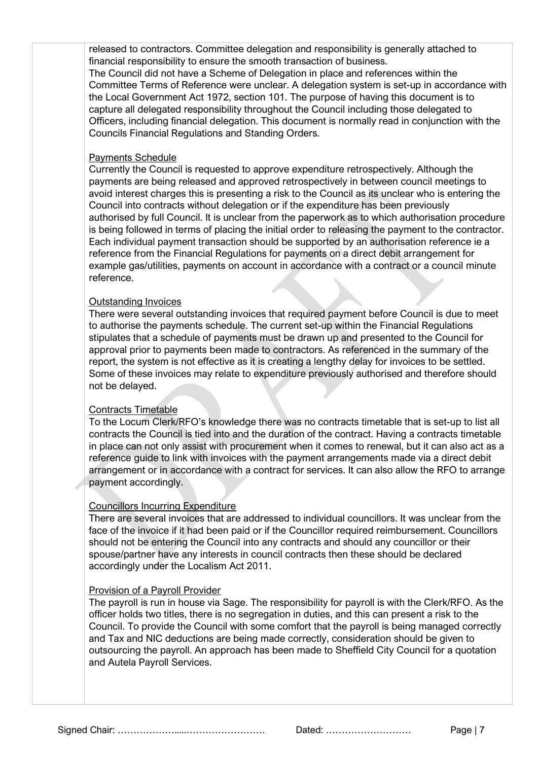released to contractors. Committee delegation and responsibility is generally attached to financial responsibility to ensure the smooth transaction of business.

The Council did not have a Scheme of Delegation in place and references within the Committee Terms of Reference were unclear. A delegation system is set-up in accordance with the Local Government Act 1972, section 101. The purpose of having this document is to capture all delegated responsibility throughout the Council including those delegated to Officers, including financial delegation. This document is normally read in conjunction with the Councils Financial Regulations and Standing Orders.

#### Payments Schedule

Currently the Council is requested to approve expenditure retrospectively. Although the payments are being released and approved retrospectively in between council meetings to avoid interest charges this is presenting a risk to the Council as its unclear who is entering the Council into contracts without delegation or if the expenditure has been previously authorised by full Council. It is unclear from the paperwork as to which authorisation procedure is being followed in terms of placing the initial order to releasing the payment to the contractor. Each individual payment transaction should be supported by an authorisation reference ie a reference from the Financial Regulations for payments on a direct debit arrangement for example gas/utilities, payments on account in accordance with a contract or a council minute reference.

#### Outstanding Invoices

There were several outstanding invoices that required payment before Council is due to meet to authorise the payments schedule. The current set-up within the Financial Regulations stipulates that a schedule of payments must be drawn up and presented to the Council for approval prior to payments been made to contractors. As referenced in the summary of the report, the system is not effective as it is creating a lengthy delay for invoices to be settled. Some of these invoices may relate to expenditure previously authorised and therefore should not be delayed.

#### Contracts Timetable

To the Locum Clerk/RFO's knowledge there was no contracts timetable that is set-up to list all contracts the Council is tied into and the duration of the contract. Having a contracts timetable in place can not only assist with procurement when it comes to renewal, but it can also act as a reference guide to link with invoices with the payment arrangements made via a direct debit arrangement or in accordance with a contract for services. It can also allow the RFO to arrange payment accordingly.

#### Councillors Incurring Expenditure

There are several invoices that are addressed to individual councillors. It was unclear from the face of the invoice if it had been paid or if the Councillor required reimbursement. Councillors should not be entering the Council into any contracts and should any councillor or their spouse/partner have any interests in council contracts then these should be declared accordingly under the Localism Act 2011.

#### Provision of a Payroll Provider

The payroll is run in house via Sage. The responsibility for payroll is with the Clerk/RFO. As the officer holds two titles, there is no segregation in duties, and this can present a risk to the Council. To provide the Council with some comfort that the payroll is being managed correctly and Tax and NIC deductions are being made correctly, consideration should be given to outsourcing the payroll. An approach has been made to Sheffield City Council for a quotation and Autela Payroll Services.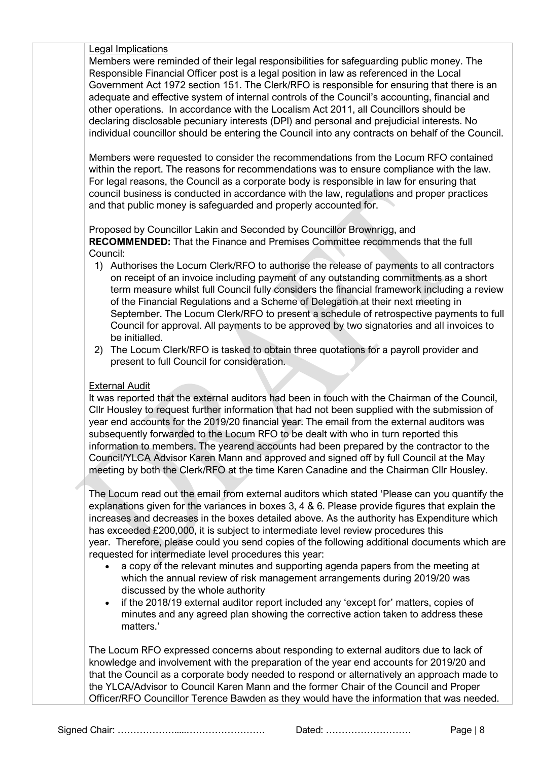#### Legal Implications

Members were reminded of their legal responsibilities for safeguarding public money. The Responsible Financial Officer post is a legal position in law as referenced in the Local Government Act 1972 section 151. The Clerk/RFO is responsible for ensuring that there is an adequate and effective system of internal controls of the Council's accounting, financial and other operations. In accordance with the Localism Act 2011, all Councillors should be declaring disclosable pecuniary interests (DPI) and personal and prejudicial interests. No individual councillor should be entering the Council into any contracts on behalf of the Council.

Members were requested to consider the recommendations from the Locum RFO contained within the report. The reasons for recommendations was to ensure compliance with the law. For legal reasons, the Council as a corporate body is responsible in law for ensuring that council business is conducted in accordance with the law, regulations and proper practices and that public money is safeguarded and properly accounted for.

Proposed by Councillor Lakin and Seconded by Councillor Brownrigg, and **RECOMMENDED:** That the Finance and Premises Committee recommends that the full Council:

- 1) Authorises the Locum Clerk/RFO to authorise the release of payments to all contractors on receipt of an invoice including payment of any outstanding commitments as a short term measure whilst full Council fully considers the financial framework including a review of the Financial Regulations and a Scheme of Delegation at their next meeting in September. The Locum Clerk/RFO to present a schedule of retrospective payments to full Council for approval. All payments to be approved by two signatories and all invoices to be initialled.
- 2) The Locum Clerk/RFO is tasked to obtain three quotations for a payroll provider and present to full Council for consideration.

#### External Audit

It was reported that the external auditors had been in touch with the Chairman of the Council, Cllr Housley to request further information that had not been supplied with the submission of year end accounts for the 2019/20 financial year. The email from the external auditors was subsequently forwarded to the Locum RFO to be dealt with who in turn reported this information to members. The yearend accounts had been prepared by the contractor to the Council/YLCA Advisor Karen Mann and approved and signed off by full Council at the May meeting by both the Clerk/RFO at the time Karen Canadine and the Chairman Cllr Housley.

The Locum read out the email from external auditors which stated 'Please can you quantify the explanations given for the variances in boxes 3, 4 & 6. Please provide figures that explain the increases and decreases in the boxes detailed above. As the authority has Expenditure which has exceeded £200,000, it is subject to intermediate level review procedures this year. Therefore, please could you send copies of the following additional documents which are requested for intermediate level procedures this year:

- a copy of the relevant minutes and supporting agenda papers from the meeting at which the annual review of risk management arrangements during 2019/20 was discussed by the whole authority
- if the 2018/19 external auditor report included any 'except for' matters, copies of minutes and any agreed plan showing the corrective action taken to address these matters.'

The Locum RFO expressed concerns about responding to external auditors due to lack of knowledge and involvement with the preparation of the year end accounts for 2019/20 and that the Council as a corporate body needed to respond or alternatively an approach made to the YLCA/Advisor to Council Karen Mann and the former Chair of the Council and Proper Officer/RFO Councillor Terence Bawden as they would have the information that was needed.